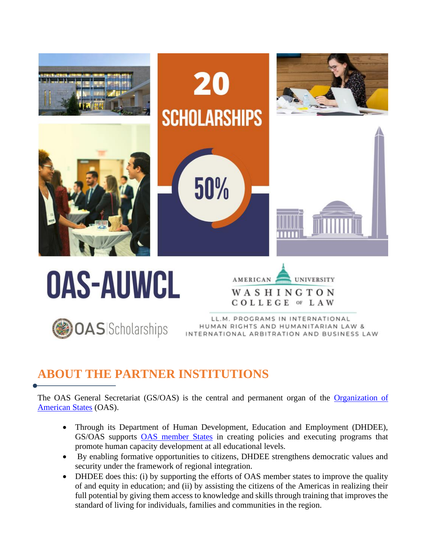

#### **ABOUT THE PARTNER INSTITUTIONS**

The OAS General Secretariat (GS/OAS) is the central and permanent organ of the Organization of [American States](http://www.oas.org/en/) (OAS).

- Through its Department of Human Development, Education and Employment (DHDEE), GS/OAS supports [OAS member States](http://www.oas.org/en/member_states/default.asp) in creating policies and executing programs that promote human capacity development at all educational levels.
- By enabling formative opportunities to citizens, DHDEE strengthens democratic values and security under the framework of regional integration.
- DHDEE does this: (i) by supporting the efforts of OAS member states to improve the quality of and equity in education; and (ii) by assisting the citizens of the Americas in realizing their full potential by giving them access to knowledge and skills through training that improves the standard of living for individuals, families and communities in the region.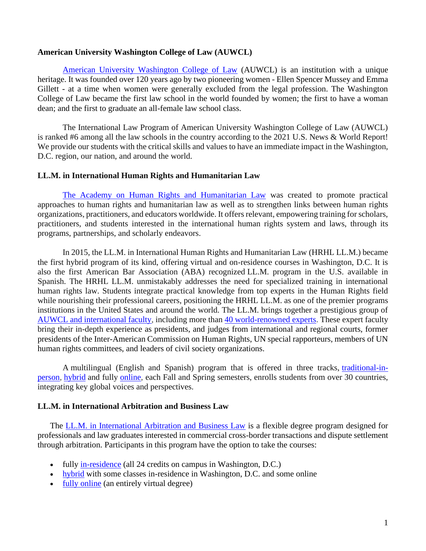#### **American University Washington College of Law (AUWCL)**

[American University Washington College of Law](https://www.wcl.american.edu/) (AUWCL) is an institution with a unique heritage. It was founded over 120 years ago by two pioneering women - Ellen Spencer Mussey and Emma Gillett - at a time when women were generally excluded from the legal profession. The Washington College of Law became the first law school in the world founded by women; the first to have a woman dean; and the first to graduate an all-female law school class.

The International Law Program of American University Washington College of Law (AUWCL) is ranked #6 among all the law schools in the country according to the 2021 U.S. News & World Report! We provide our students with the critical skills and values to have an immediate impact in the Washington, D.C. region, our nation, and around the world.

#### **LL.M. in International Human Rights and Humanitarian Law**

[The Academy on Human Rights and Humanitarian Law](https://www.wcl.american.edu/impact/initiatives-programs/hracademy/) was created to promote practical approaches to human rights and humanitarian law as well as to strengthen links between human rights organizations, practitioners, and educators worldwide. It offers relevant, empowering training for scholars, practitioners, and students interested in the international human rights system and laws, through its programs, partnerships, and scholarly endeavors.

In 2015, the LL.M. in International Human Rights and Humanitarian Law (HRHL LL.M.) became the first hybrid program of its kind, offering virtual and on-residence courses in Washington, D.C. It is also the first American Bar Association (ABA) recognized LL.M. program in the U.S. available in Spanish. The HRHL LL.M. unmistakably addresses the need for specialized training in international human rights law. Students integrate practical knowledge from top experts in the Human Rights field while nourishing their professional careers, positioning the HRHL LL.M. as one of the premier programs institutions in the United States and around the world. The LL.M. brings together a prestigious group of [AUWCL and international faculty,](file:///C:/Users/AppData/AppData/Local/Microsoft/Windows/INetCache/Content.Outlook/AppData/AppData/Local/Microsoft/Windows/INetCache/AppData/Local/Microsoft/Windows/INetCache/Content.Outlook/VMQCPPKN/top%20experts) including more than [40 world-renowned experts.](https://www.wcl.american.edu/impact/initiatives-programs/hracademy/advanced/summer-faculty/) These expert faculty bring their in-depth experience as presidents, and judges from international and regional courts, former presidents of the Inter-American Commission on Human Rights, UN special rapporteurs, members of UN human rights committees, and leaders of civil society organizations.

A multilingual (English and Spanish) program that is offered in three tracks, [traditional-in](https://www.wcl.american.edu/impact/initiatives-programs/hracademy/llm/curriculum/residential/)[person,](https://www.wcl.american.edu/impact/initiatives-programs/hracademy/llm/curriculum/residential/) [hybrid](https://www.wcl.american.edu/impact/initiatives-programs/hracademy/llm/hybirdrequirements/) and fully [online,](https://www.wcl.american.edu/impact/initiatives-programs/hracademy/llm/online-ll-m/) each Fall and Spring semesters, enrolls students from over 30 countries, integrating key global voices and perspectives.

#### **LL.M. in International Arbitration and Business Law**

The [LL.M. in International Arbitration and Business Law](https://www.wcl.american.edu/academics/degrees/llm/programs/arbitration/) is a flexible degree program designed for professionals and law graduates interested in commercial cross-border transactions and dispute settlement through arbitration. Participants in this program have the option to take the courses:

- fully [in-residence](https://www.wcl.american.edu/academics/degrees/llm/programs/arbitration/curriculum/) (all 24 credits on campus in Washington, D.C.)
- [hybrid](https://www.wcl.american.edu/academics/degrees/llm/programs/arbitration/online/) with some classes in-residence in Washington, D.C. and some online
- [fully online](https://www.wcl.american.edu/academics/degrees/llm/programs/arbitration/online/) (an entirely virtual degree)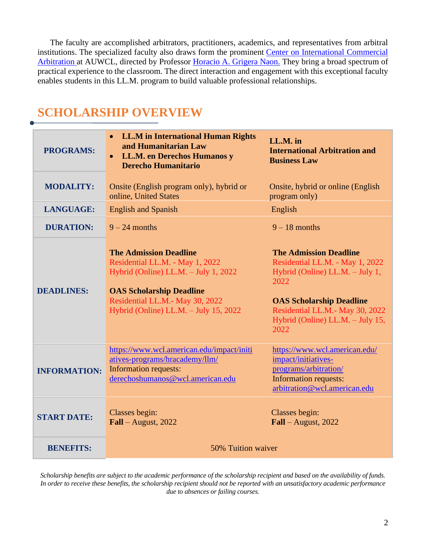The faculty are accomplished arbitrators, practitioners, academics, and representatives from arbitral institutions. The specialized faculty also draws form the prominent [Center on International Commercial](https://www.wcl.american.edu/impact/initiatives-programs/arbitration/)  [Arbitration](https://www.wcl.american.edu/impact/initiatives-programs/arbitration/) at AUWCL, directed by Professor [Horacio A. Grigera Naon.](https://www.wcl.american.edu/community/faculty/profile/grigeranaon/bio/) They bring a broad spectrum of practical experience to the classroom. The direct interaction and engagement with this exceptional faculty enables students in this LL.M. program to build valuable professional relationships.

#### **SCHOLARSHIP OVERVIEW**

| <b>PROGRAMS:</b>    | LL.M in International Human Rights<br>$\bullet$<br>and Humanitarian Law<br>LL.M. en Derechos Humanos y<br>$\bullet$<br><b>Derecho Humanitario</b>                                                                       | LL.M. in<br><b>International Arbitration and</b><br><b>Business Law</b>                                                                                                                                                       |  |  |  |
|---------------------|-------------------------------------------------------------------------------------------------------------------------------------------------------------------------------------------------------------------------|-------------------------------------------------------------------------------------------------------------------------------------------------------------------------------------------------------------------------------|--|--|--|
| <b>MODALITY:</b>    | Onsite (English program only), hybrid or<br>online, United States                                                                                                                                                       | Onsite, hybrid or online (English)<br>program only)                                                                                                                                                                           |  |  |  |
| <b>LANGUAGE:</b>    | <b>English and Spanish</b>                                                                                                                                                                                              | English                                                                                                                                                                                                                       |  |  |  |
| <b>DURATION:</b>    | $9 - 24$ months                                                                                                                                                                                                         | $9 - 18$ months                                                                                                                                                                                                               |  |  |  |
| <b>DEADLINES:</b>   | <b>The Admission Deadline</b><br>Residential LL.M. - May 1, 2022<br>Hybrid (Online) LL.M. - July 1, 2022<br><b>OAS Scholarship Deadline</b><br>Residential LL.M.- May 30, 2022<br>Hybrid (Online) LL.M. - July 15, 2022 | <b>The Admission Deadline</b><br>Residential LL.M. - May 1, 2022<br>Hybrid (Online) LL.M. - July 1,<br>2022<br><b>OAS Scholarship Deadline</b><br>Residential LL.M.- May 30, 2022<br>Hybrid (Online) LL.M. - July 15,<br>2022 |  |  |  |
| <b>INFORMATION:</b> | https://www.wcl.american.edu/impact/initi<br>atives-programs/hracademy/llm/<br><b>Information requests:</b><br>derechoshumanos@wcl.american.edu                                                                         | https://www.wcl.american.edu/<br>impact/initiatives-<br>programs/arbitration/<br><b>Information requests:</b><br>arbitration@wcl.american.edu                                                                                 |  |  |  |
| <b>START DATE:</b>  | Classes begin:<br>$Fall - August, 2022$                                                                                                                                                                                 | Classes begin:<br>$Fall - August, 2022$                                                                                                                                                                                       |  |  |  |
| <b>BENEFITS:</b>    | 50% Tuition waiver                                                                                                                                                                                                      |                                                                                                                                                                                                                               |  |  |  |

*Scholarship benefits are subject to the academic performance of the scholarship recipient and based on the availability of funds. In order to receive these benefits, the scholarship recipient should not be reported with an unsatisfactory academic performance due to absences or failing courses.*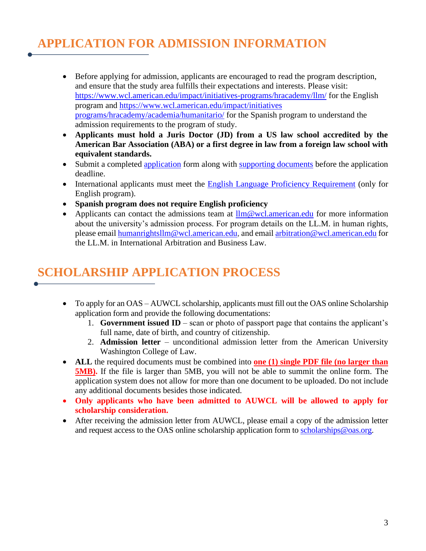### **APPLICATION FOR ADMISSION INFORMATION**

- Before applying for admission, applicants are encouraged to read the program description, and ensure that the study area fulfills their expectations and interests. Please visit: <https://www.wcl.american.edu/impact/initiatives-programs/hracademy/llm/> for the English program and [https://www.wcl.american.edu/impact/initiatives](https://www.wcl.american.edu/impact/initiatives%20programs/hracademy/academia/humanitario/)  [programs/hracademy/academia/humanitario/](https://www.wcl.american.edu/impact/initiatives%20programs/hracademy/academia/humanitario/) for the Spanish program to understand the admission requirements to the program of study.
- **Applicants must hold a Juris Doctor (JD) from a US law school accredited by the American Bar Association (ABA) or a first degree in law from a foreign law school with equivalent standards.**
- Submit a completed [application](https://www.wcl.american.edu/llm/application/) form along with [supporting documents](https://www.wcl.american.edu/academics/degrees/llm/how-to-apply/instructions/) before the application deadline.
- International applicants must meet the [English Language Proficiency Requirement](https://www.wcl.american.edu/academics/degrees/llm/how-to-apply/instructions/) (only for English program).
- **Spanish program does not require English proficiency**
- Applicants can contact the admissions team at  $\lim_{x \to 0} e^{x}$  american.edu for more information about the university's admission process. For program details on the LL.M. in human rights, please emai[l humanrightsllm@wcl.american.edu,](mailto:humanrightsllm@wcl.american.edu) and email [arbitration@wcl.american.edu](mailto:arbitration@wcl.american.edu) for the LL.M. in International Arbitration and Business Law.

# **SCHOLARSHIP APPLICATION PROCESS**

- To apply for an OAS AUWCL scholarship, applicants must fill out the OAS online Scholarship application form and provide the following documentations:
	- 1. **Government issued ID** scan or photo of passport page that contains the applicant's full name, date of birth, and country of citizenship.
	- 2. **Admission letter** unconditional admission letter from the American University Washington College of Law.
- **ALL** the required documents must be combined into **one (1) [single PDF file](https://acrobat.adobe.com/us/en/acrobat/how-to/merge-combine-pdf-files-online.html) (no larger than 5MB).** If the file is larger than 5MB, you will not be able to summit the online form. The application system does not allow for more than one document to be uploaded. Do not include any additional documents besides those indicated.
- **Only applicants who have been admitted to AUWCL will be allowed to apply for scholarship consideration.**
- After receiving the admission letter from AUWCL, please email a copy of the admission letter and request access to the OAS online scholarship application form to [scholarships@oas.org.](mailto:scholarships@oas.org)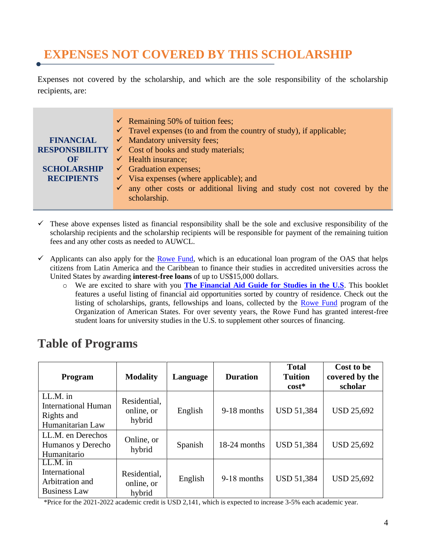# **EXPENSES NOT COVERED BY THIS SCHOLARSHIP**

Expenses not covered by the scholarship, and which are the sole responsibility of the scholarship recipients, are:

|                       | $\checkmark$ Remaining 50% of tuition fees;                                         |  |  |  |  |  |
|-----------------------|-------------------------------------------------------------------------------------|--|--|--|--|--|
|                       | $\checkmark$ Travel expenses (to and from the country of study), if applicable;     |  |  |  |  |  |
| <b>FINANCIAL</b>      | $\checkmark$ Mandatory university fees;                                             |  |  |  |  |  |
| <b>RESPONSIBILITY</b> | $\checkmark$ Cost of books and study materials;                                     |  |  |  |  |  |
| $\Omega$ F            | $\checkmark$ Health insurance;                                                      |  |  |  |  |  |
| <b>SCHOLARSHIP</b>    | $\checkmark$ Graduation expenses;                                                   |  |  |  |  |  |
| <b>RECIPIENTS</b>     | $\checkmark$ Visa expenses (where applicable); and                                  |  |  |  |  |  |
|                       | $\checkmark$ any other costs or additional living and study cost not covered by the |  |  |  |  |  |
|                       | scholarship.                                                                        |  |  |  |  |  |

- $\checkmark$  These above expenses listed as financial responsibility shall be the sole and exclusive responsibility of the scholarship recipients and the scholarship recipients will be responsible for payment of the remaining tuition fees and any other costs as needed to AUWCL.
- $\checkmark$  Applicants can also apply for the [Rowe Fund,](http://www.oas.org/en/rowefund/default.asp) which is an educational loan program of the OAS that helps citizens from Latin America and the Caribbean to finance their studies in accredited universities across the United States by awarding **interest-free loans** of up to US\$15,000 dollars.
	- o We are excited to share with you **[The Financial Aid Guide for Studies in the U.S](https://www.oas.org/en/rowefund/FinancialAidGuideForUS-Studies.pdf)**. This booklet features a useful listing of financial aid opportunities sorted by country of residence. Check out the listing of scholarships, grants, fellowships and loans, collected by the [Rowe Fund](http://www.oas.org/en/rowefund) program of the Organization of American States. For over seventy years, the Rowe Fund has granted interest-free student loans for university studies in the U.S. to supplement other sources of financing.

# **Table of Programs**

| <b>Program</b>                                                           | <b>Modality</b>                      | Language | <b>Duration</b> | <b>Total</b><br><b>Tuition</b><br>$cost*$ | Cost to be<br>covered by the<br>scholar |
|--------------------------------------------------------------------------|--------------------------------------|----------|-----------------|-------------------------------------------|-----------------------------------------|
| LL.M. in<br><b>International Human</b><br>Rights and<br>Humanitarian Law | Residential,<br>online, or<br>hybrid | English  | 9-18 months     | <b>USD 51,384</b>                         | <b>USD 25,692</b>                       |
| LL.M. en Derechos<br>Humanos y Derecho<br>Humanitario                    | Online, or<br>hybrid                 | Spanish  | 18-24 months    | <b>USD 51,384</b>                         | <b>USD 25,692</b>                       |
| $LL.M.$ in<br>International<br>Arbitration and<br><b>Business Law</b>    | Residential,<br>online, or<br>hybrid | English  | 9-18 months     | <b>USD 51,384</b>                         | <b>USD 25,692</b>                       |

\*Price for the 2021-2022 academic credit is USD 2,141, which is expected to increase 3-5% each academic year.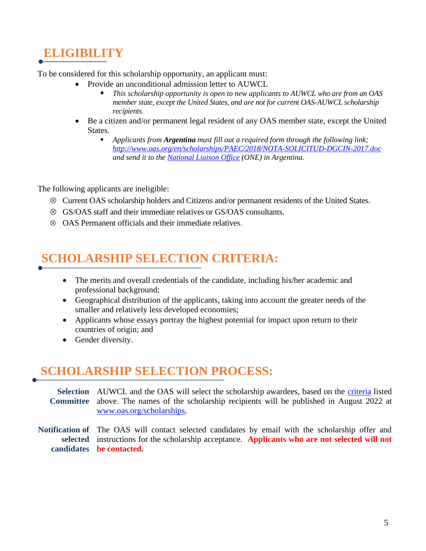### **ELIGIBILITY**

To be considered for this scholarship opportunity, an applicant must:

- Provide an unconditional admission letter to AUWCL
	- *This scholarship opportunity is open to new applicants to AUWCL who are from an OAS member state, except the United States, and are not for current OAS-AUWCL scholarship recipients.*
- Be a citizen and/or permanent legal resident of any [OAS member state,](http://www.oas.org/en/member_states/default.asp) except the United States.
	- *Applicants from Argentina must fill out a required form through the following link; <http://www.oas.org/en/scholarships/PAEC/2018/NOTA-SOLICITUD-DGCIN-2017.doc> and send it to the [National Liaison Office](http://www.oas.org/en/scholarships/regularprogram/one.asp) (ONE) in Argentina.*

The following applicants are ineligible:

- Current OAS scholarship holders and Citizens and/or permanent residents of the United States.
- GS/OAS staff and their immediate relatives or GS/OAS consultants.
- $\otimes$  OAS Permanent officials and their immediate relatives.

### **SCHOLARSHIP SELECTION CRITERIA:**

- The merits and overall credentials of the candidate, including his/her academic and professional background;
- Geographical distribution of the applicants, taking into account the greater needs of the smaller and relatively less developed economies;
- Applicants whose essays portray the highest potential for impact upon return to their countries of origin; and
- Gender diversity.

### **SCHOLARSHIP SELECTION PROCESS:**

Selection AUWCL and the OAS will select the scholarship awardees, based on the criteria listed **Committee** above. The names of the scholarship recipients will be published in August 2022 at [www.oas.org/scholarships.](http://www.oas.org/scholarships)

**Notification of**  The OAS will contact selected candidates by email with the scholarship offer and **selected**  instructions for the scholarship acceptance. **Applicants who are not selected will not candidates be contacted.**